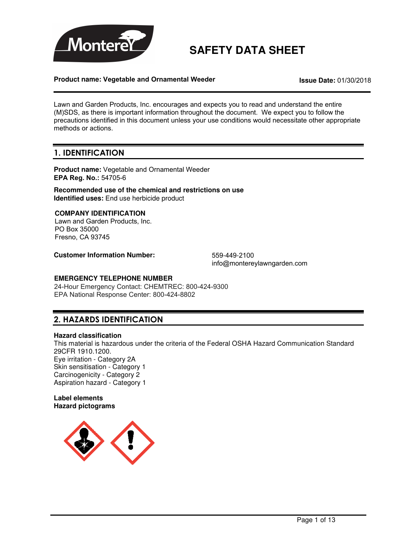

# **SAFETY DATA SHEET**

### **Product name: Vegetable and Ornamental Weeder Issue Date:** 01/30/2018

Lawn and Garden Products, Inc. encourages and expects you to read and understand the entire (M)SDS, as there is important information throughout the document. We expect you to follow the precautions identified in this document unless your use conditions would necessitate other appropriate methods or actions.

## 1. IDENTIFICATION

**Product name:** Vegetable and Ornamental Weeder **EPA Reg. No.:** 54705-6

**Recommended use of the chemical and restrictions on use Identified uses:** End use herbicide product

### **COMPANY IDENTIFICATION**

Lawn and Garden Products, Inc. PO Box 35000 Fresno, CA 93745

**Customer Information Number:** 559-449-2100

info@montereylawngarden.com

### **EMERGENCY TELEPHONE NUMBER**

24-Hour Emergency Contact: CHEMTREC: 800-424-9300 EPA National Response Center: 800-424-8802

## 2. HAZARDS IDENTIFICATION

### **Hazard classification**

This material is hazardous under the criteria of the Federal OSHA Hazard Communication Standard 29CFR 1910.1200. Eye irritation - Category 2A Skin sensitisation - Category 1 Carcinogenicity - Category 2 Aspiration hazard - Category 1

### **Label elements Hazard pictograms**

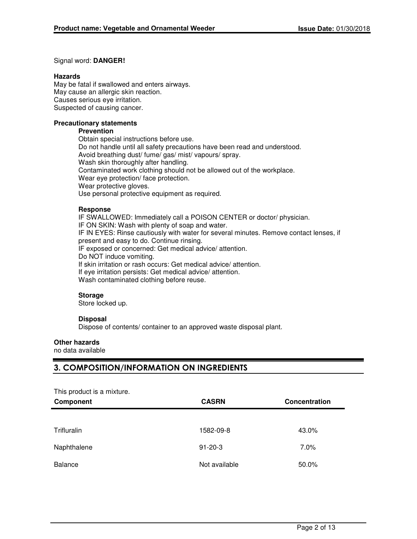### Signal word: **DANGER!**

### **Hazards**

May be fatal if swallowed and enters airways. May cause an allergic skin reaction. Causes serious eye irritation. Suspected of causing cancer.

### **Precautionary statements**

#### **Prevention**

Obtain special instructions before use. Do not handle until all safety precautions have been read and understood. Avoid breathing dust/ fume/ gas/ mist/ vapours/ spray. Wash skin thoroughly after handling. Contaminated work clothing should not be allowed out of the workplace. Wear eye protection/ face protection. Wear protective gloves. Use personal protective equipment as required.

### **Response**

IF SWALLOWED: Immediately call a POISON CENTER or doctor/ physician. IF ON SKIN: Wash with plenty of soap and water. IF IN EYES: Rinse cautiously with water for several minutes. Remove contact lenses, if present and easy to do. Continue rinsing. IF exposed or concerned: Get medical advice/ attention. Do NOT induce vomiting. If skin irritation or rash occurs: Get medical advice/ attention. If eye irritation persists: Get medical advice/ attention. Wash contaminated clothing before reuse.

### **Storage**

Store locked up.

### **Disposal**

Dispose of contents/ container to an approved waste disposal plant.

### **Other hazards**

no data available

## 3. COMPOSITION/INFORMATION ON INGREDIENTS

| This product is a mixture. |               |               |
|----------------------------|---------------|---------------|
| Component                  | <b>CASRN</b>  | Concentration |
|                            |               |               |
| Trifluralin                | 1582-09-8     | 43.0%         |
| Naphthalene                | $91 - 20 - 3$ | 7.0%          |
| <b>Balance</b>             | Not available | 50.0%         |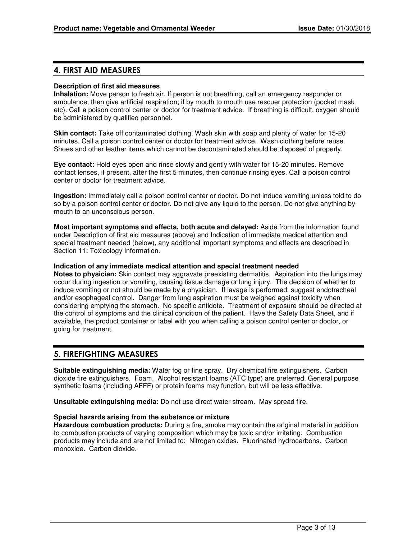### 4. FIRST AID MEASURES

### **Description of first aid measures**

**Inhalation:** Move person to fresh air. If person is not breathing, call an emergency responder or ambulance, then give artificial respiration; if by mouth to mouth use rescuer protection (pocket mask etc). Call a poison control center or doctor for treatment advice. If breathing is difficult, oxygen should be administered by qualified personnel.

**Skin contact:** Take off contaminated clothing. Wash skin with soap and plenty of water for 15-20 minutes. Call a poison control center or doctor for treatment advice. Wash clothing before reuse. Shoes and other leather items which cannot be decontaminated should be disposed of properly.

**Eye contact:** Hold eyes open and rinse slowly and gently with water for 15-20 minutes. Remove contact lenses, if present, after the first 5 minutes, then continue rinsing eyes. Call a poison control center or doctor for treatment advice.

**Ingestion:** Immediately call a poison control center or doctor. Do not induce vomiting unless told to do so by a poison control center or doctor. Do not give any liquid to the person. Do not give anything by mouth to an unconscious person.

**Most important symptoms and effects, both acute and delayed:** Aside from the information found under Description of first aid measures (above) and Indication of immediate medical attention and special treatment needed (below), any additional important symptoms and effects are described in Section 11: Toxicology Information.

### **Indication of any immediate medical attention and special treatment needed**

**Notes to physician:** Skin contact may aggravate preexisting dermatitis. Aspiration into the lungs may occur during ingestion or vomiting, causing tissue damage or lung injury. The decision of whether to induce vomiting or not should be made by a physician. If lavage is performed, suggest endotracheal and/or esophageal control. Danger from lung aspiration must be weighed against toxicity when considering emptying the stomach. No specific antidote. Treatment of exposure should be directed at the control of symptoms and the clinical condition of the patient. Have the Safety Data Sheet, and if available, the product container or label with you when calling a poison control center or doctor, or going for treatment.

### 5. FIREFIGHTING MEASURES

**Suitable extinguishing media:** Water fog or fine spray. Dry chemical fire extinguishers. Carbon dioxide fire extinguishers. Foam. Alcohol resistant foams (ATC type) are preferred. General purpose synthetic foams (including AFFF) or protein foams may function, but will be less effective.

**Unsuitable extinguishing media:** Do not use direct water stream. May spread fire.

### **Special hazards arising from the substance or mixture**

**Hazardous combustion products:** During a fire, smoke may contain the original material in addition to combustion products of varying composition which may be toxic and/or irritating. Combustion products may include and are not limited to: Nitrogen oxides. Fluorinated hydrocarbons. Carbon monoxide. Carbon dioxide.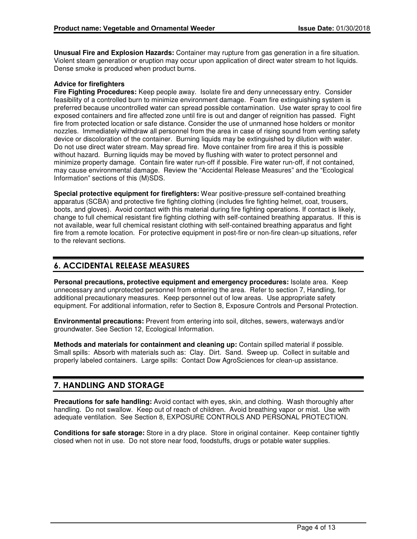**Unusual Fire and Explosion Hazards:** Container may rupture from gas generation in a fire situation. Violent steam generation or eruption may occur upon application of direct water stream to hot liquids. Dense smoke is produced when product burns.

### **Advice for firefighters**

**Fire Fighting Procedures:** Keep people away. Isolate fire and deny unnecessary entry. Consider feasibility of a controlled burn to minimize environment damage. Foam fire extinguishing system is preferred because uncontrolled water can spread possible contamination. Use water spray to cool fire exposed containers and fire affected zone until fire is out and danger of reignition has passed. Fight fire from protected location or safe distance. Consider the use of unmanned hose holders or monitor nozzles. Immediately withdraw all personnel from the area in case of rising sound from venting safety device or discoloration of the container. Burning liquids may be extinguished by dilution with water. Do not use direct water stream. May spread fire. Move container from fire area if this is possible without hazard. Burning liquids may be moved by flushing with water to protect personnel and minimize property damage. Contain fire water run-off if possible. Fire water run-off, if not contained, may cause environmental damage. Review the "Accidental Release Measures" and the "Ecological Information" sections of this (M)SDS.

**Special protective equipment for firefighters:** Wear positive-pressure self-contained breathing apparatus (SCBA) and protective fire fighting clothing (includes fire fighting helmet, coat, trousers, boots, and gloves). Avoid contact with this material during fire fighting operations. If contact is likely, change to full chemical resistant fire fighting clothing with self-contained breathing apparatus. If this is not available, wear full chemical resistant clothing with self-contained breathing apparatus and fight fire from a remote location. For protective equipment in post-fire or non-fire clean-up situations, refer to the relevant sections.

## 6. ACCIDENTAL RELEASE MEASURES

**Personal precautions, protective equipment and emergency procedures:** Isolate area. Keep unnecessary and unprotected personnel from entering the area. Refer to section 7, Handling, for additional precautionary measures. Keep personnel out of low areas. Use appropriate safety equipment. For additional information, refer to Section 8, Exposure Controls and Personal Protection.

**Environmental precautions:** Prevent from entering into soil, ditches, sewers, waterways and/or groundwater. See Section 12, Ecological Information.

**Methods and materials for containment and cleaning up:** Contain spilled material if possible. Small spills: Absorb with materials such as: Clay. Dirt. Sand. Sweep up. Collect in suitable and properly labeled containers. Large spills: Contact Dow AgroSciences for clean-up assistance.

## 7. HANDLING AND STORAGE

**Precautions for safe handling:** Avoid contact with eyes, skin, and clothing. Wash thoroughly after handling. Do not swallow. Keep out of reach of children. Avoid breathing vapor or mist. Use with adequate ventilation. See Section 8, EXPOSURE CONTROLS AND PERSONAL PROTECTION.

**Conditions for safe storage:** Store in a dry place. Store in original container. Keep container tightly closed when not in use. Do not store near food, foodstuffs, drugs or potable water supplies.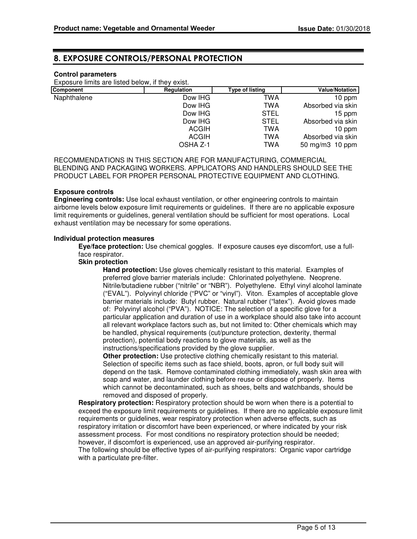## 8. EXPOSURE CONTROLS/PERSONAL PROTECTION

### **Control parameters**

Exposure limits are listed below, if they exist.

| Component   | Regulation   | Type of listing | <b>Value/Notation</b> |
|-------------|--------------|-----------------|-----------------------|
| Naphthalene | Dow IHG      | TWA             | 10 ppm                |
|             | Dow IHG      | TWA             | Absorbed via skin     |
|             | Dow IHG      | <b>STEL</b>     | 15 ppm                |
|             | Dow IHG      | <b>STEL</b>     | Absorbed via skin     |
|             | <b>ACGIH</b> | TWA             | 10 ppm                |
|             | ACGIH        | TWA             | Absorbed via skin     |
|             | OSHA Z-1     | TWA             | 50 mg/m3 10 ppm       |

RECOMMENDATIONS IN THIS SECTION ARE FOR MANUFACTURING, COMMERCIAL BLENDING AND PACKAGING WORKERS. APPLICATORS AND HANDLERS SHOULD SEE THE PRODUCT LABEL FOR PROPER PERSONAL PROTECTIVE EQUIPMENT AND CLOTHING.

### **Exposure controls**

**Engineering controls:** Use local exhaust ventilation, or other engineering controls to maintain airborne levels below exposure limit requirements or guidelines. If there are no applicable exposure limit requirements or guidelines, general ventilation should be sufficient for most operations. Local exhaust ventilation may be necessary for some operations.

#### **Individual protection measures**

**Eye/face protection:** Use chemical goggles. If exposure causes eye discomfort, use a fullface respirator.

### **Skin protection**

**Hand protection:** Use gloves chemically resistant to this material. Examples of preferred glove barrier materials include: Chlorinated polyethylene. Neoprene. Nitrile/butadiene rubber ("nitrile" or "NBR"). Polyethylene. Ethyl vinyl alcohol laminate ("EVAL"). Polyvinyl chloride ("PVC" or "vinyl"). Viton. Examples of acceptable glove barrier materials include: Butyl rubber. Natural rubber ("latex"). Avoid gloves made of: Polyvinyl alcohol ("PVA"). NOTICE: The selection of a specific glove for a particular application and duration of use in a workplace should also take into account all relevant workplace factors such as, but not limited to: Other chemicals which may be handled, physical requirements (cut/puncture protection, dexterity, thermal protection), potential body reactions to glove materials, as well as the instructions/specifications provided by the glove supplier.

**Other protection:** Use protective clothing chemically resistant to this material. Selection of specific items such as face shield, boots, apron, or full body suit will depend on the task. Remove contaminated clothing immediately, wash skin area with soap and water, and launder clothing before reuse or dispose of properly. Items which cannot be decontaminated, such as shoes, belts and watchbands, should be removed and disposed of properly.

**Respiratory protection:** Respiratory protection should be worn when there is a potential to exceed the exposure limit requirements or guidelines. If there are no applicable exposure limit requirements or guidelines, wear respiratory protection when adverse effects, such as respiratory irritation or discomfort have been experienced, or where indicated by your risk assessment process. For most conditions no respiratory protection should be needed; however, if discomfort is experienced, use an approved air-purifying respirator. The following should be effective types of air-purifying respirators: Organic vapor cartridge with a particulate pre-filter.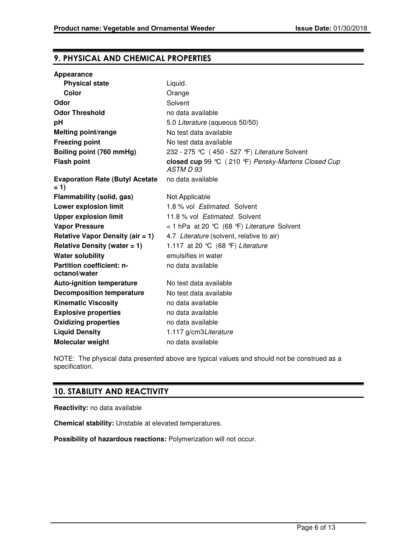## 9. PHYSICAL AND CHEMICAL PROPERTIES

| Appearance                                       |                                                                  |
|--------------------------------------------------|------------------------------------------------------------------|
| <b>Physical state</b>                            | Liquid.                                                          |
| Color                                            | Orange                                                           |
| Odor                                             | Solvent                                                          |
| <b>Odor Threshold</b>                            | no data available                                                |
| рH                                               | 5.0 Literature (aqueous 50/50)                                   |
| Melting point/range                              | No test data available                                           |
| <b>Freezing point</b>                            | No test data available                                           |
| Boiling point (760 mmHg)                         | 232 - 275 °C (450 - 527 °F) Literature Solvent                   |
| <b>Flash point</b>                               | closed cup 99 °C (210 °F) Pensky-Martens Closed Cup<br>ASTM D 93 |
| <b>Evaporation Rate (Butyl Acetate)</b><br>$= 1$ | no data available                                                |
| <b>Flammability (solid, gas)</b>                 | Not Applicable                                                   |
| <b>Lower explosion limit</b>                     | 1.8 % vol Estimated. Solvent                                     |
| <b>Upper explosion limit</b>                     | 11.8 % vol Estimated. Solvent                                    |
| <b>Vapor Pressure</b>                            | < 1 hPa at 20 °C (68 °F) Literature Solvent                      |
| Relative Vapor Density (air $= 1$ )              | 4.7 Literature (solvent, relative to air)                        |
| Relative Density (water $= 1$ )                  | 1.117 at 20 °C (68 °F) Literature                                |
| <b>Water solubility</b>                          | emulsifies in water                                              |
| Partition coefficient: n-<br>octanol/water       | no data available                                                |
| <b>Auto-ignition temperature</b>                 | No test data available                                           |
| <b>Decomposition temperature</b>                 | No test data available                                           |
| <b>Kinematic Viscosity</b>                       | no data available                                                |
| <b>Explosive properties</b>                      | no data available                                                |
| <b>Oxidizing properties</b>                      | no data available                                                |
| <b>Liquid Density</b>                            | 1.117 g/cm3Literature                                            |
| <b>Molecular weight</b>                          | no data available                                                |

NOTE: The physical data presented above are typical values and should not be construed as a specification.

## 10. STABILITY AND REACTIVITY

**Reactivity:** no data available

**Chemical stability:** Unstable at elevated temperatures.

**Possibility of hazardous reactions:** Polymerization will not occur.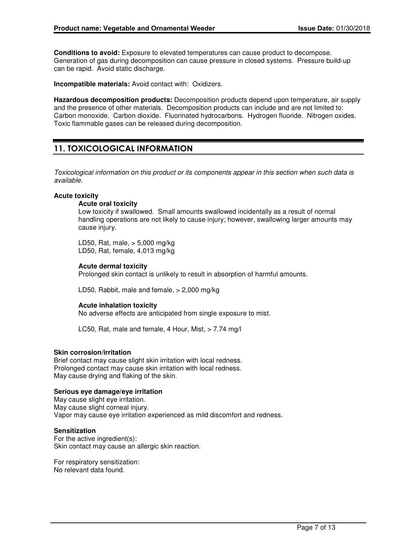**Conditions to avoid:** Exposure to elevated temperatures can cause product to decompose. Generation of gas during decomposition can cause pressure in closed systems. Pressure build-up can be rapid. Avoid static discharge.

**Incompatible materials:** Avoid contact with: Oxidizers.

**Hazardous decomposition products:** Decomposition products depend upon temperature, air supply and the presence of other materials. Decomposition products can include and are not limited to: Carbon monoxide. Carbon dioxide. Fluorinated hydrocarbons. Hydrogen fluoride. Nitrogen oxides. Toxic flammable gases can be released during decomposition.

## 11. TOXICOLOGICAL INFORMATION

Toxicological information on this product or its components appear in this section when such data is available.

### **Acute toxicity**

#### **Acute oral toxicity**

Low toxicity if swallowed. Small amounts swallowed incidentally as a result of normal handling operations are not likely to cause injury; however, swallowing larger amounts may cause injury.

LD50, Rat, male, > 5,000 mg/kg LD50, Rat, female, 4,013 mg/kg

### **Acute dermal toxicity**

Prolonged skin contact is unlikely to result in absorption of harmful amounts.

LD50, Rabbit, male and female, > 2,000 mg/kg

### **Acute inhalation toxicity**

No adverse effects are anticipated from single exposure to mist.

LC50, Rat, male and female, 4 Hour, Mist, > 7.74 mg/l

### **Skin corrosion/irritation**

Brief contact may cause slight skin irritation with local redness. Prolonged contact may cause skin irritation with local redness. May cause drying and flaking of the skin.

### **Serious eye damage/eye irritation**

May cause slight eye irritation. May cause slight corneal injury. Vapor may cause eye irritation experienced as mild discomfort and redness.

#### **Sensitization**

For the active ingredient(s): Skin contact may cause an allergic skin reaction.

For respiratory sensitization: No relevant data found.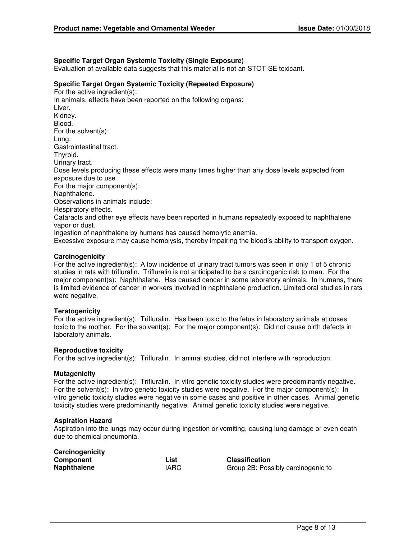### **Specific Target Organ Systemic Toxicity (Single Exposure)**

Evaluation of available data suggests that this material is not an STOT-SE toxicant.

### **Specific Target Organ Systemic Toxicity (Repeated Exposure)**

For the active ingredient(s): In animals, effects have been reported on the following organs: Liver. Kidney. Blood. For the solvent(s): Lung. Gastrointestinal tract. Thyroid. Urinary tract. Dose levels producing these effects were many times higher than any dose levels expected from exposure due to use. For the major component(s): Naphthalene. Observations in animals include: Respiratory effects. Cataracts and other eye effects have been reported in humans repeatedly exposed to naphthalene vapor or dust. Ingestion of naphthalene by humans has caused hemolytic anemia. Excessive exposure may cause hemolysis, thereby impairing the blood's ability to transport oxygen.

### **Carcinogenicity**

For the active ingredient(s): A low incidence of urinary tract tumors was seen in only 1 of 5 chronic studies in rats with trifluralin. Trifluralin is not anticipated to be a carcinogenic risk to man. For the major component(s): Naphthalene. Has caused cancer in some laboratory animals. In humans, there is limited evidence of cancer in workers involved in naphthalene production. Limited oral studies in rats were negative.

### **Teratogenicity**

For the active ingredient(s): Trifluralin. Has been toxic to the fetus in laboratory animals at doses toxic to the mother. For the solvent(s): For the major component(s): Did not cause birth defects in laboratory animals.

#### **Reproductive toxicity**

For the active ingredient(s): Trifluralin. In animal studies, did not interfere with reproduction.

### **Mutagenicity**

For the active ingredient(s): Trifluralin. In vitro genetic toxicity studies were predominantly negative. For the solvent(s): In vitro genetic toxicity studies were negative. For the major component(s): In vitro genetic toxicity studies were negative in some cases and positive in other cases. Animal genetic toxicity studies were predominantly negative. Animal genetic toxicity studies were negative.

#### **Aspiration Hazard**

Aspiration into the lungs may occur during ingestion or vomiting, causing lung damage or even death due to chemical pneumonia.

| Carcinogenicity    |             |
|--------------------|-------------|
| Component          | List        |
| <b>Naphthalene</b> | <b>IARC</b> |

**Classification** Group 2B: Possibly carcinogenic to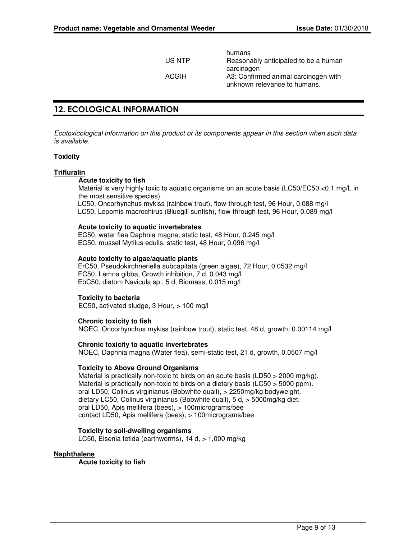humans US NTP Reasonably anticipated to be a human carcinogen ACGIH A3: Confirmed animal carcinogen with unknown relevance to humans.

## 12. ECOLOGICAL INFORMATION

Ecotoxicological information on this product or its components appear in this section when such data is available.

### **Toxicity**

### **Trifluralin**

### **Acute toxicity to fish**

Material is very highly toxic to aquatic organisms on an acute basis (LC50/EC50 <0.1 mg/L in the most sensitive species).

LC50, Oncorhynchus mykiss (rainbow trout), flow-through test, 96 Hour, 0.088 mg/l LC50, Lepomis macrochirus (Bluegill sunfish), flow-through test, 96 Hour, 0.089 mg/l

### **Acute toxicity to aquatic invertebrates**

EC50, water flea Daphnia magna, static test, 48 Hour, 0.245 mg/l EC50, mussel Mytilus edulis, static test, 48 Hour, 0.096 mg/l

### **Acute toxicity to algae/aquatic plants**

ErC50, Pseudokirchneriella subcapitata (green algae), 72 Hour, 0.0532 mg/l EC50, Lemna gibba, Growth inhibition, 7 d, 0.043 mg/l EbC50, diatom Navicula sp., 5 d, Biomass, 0.015 mg/l

### **Toxicity to bacteria**

EC50, activated sludge, 3 Hour, > 100 mg/l

### **Chronic toxicity to fish**

NOEC, Oncorhynchus mykiss (rainbow trout), static test, 48 d, growth, 0.00114 mg/l

### **Chronic toxicity to aquatic invertebrates**

NOEC, Daphnia magna (Water flea), semi-static test, 21 d, growth, 0.0507 mg/l

### **Toxicity to Above Ground Organisms**

Material is practically non-toxic to birds on an acute basis (LD50 > 2000 mg/kg). Material is practically non-toxic to birds on a dietary basis (LC50 > 5000 ppm). oral LD50, Colinus virginianus (Bobwhite quail), > 2250mg/kg bodyweight. dietary LC50, Colinus virginianus (Bobwhite quail), 5 d, > 5000mg/kg diet. oral LD50, Apis mellifera (bees), > 100micrograms/bee contact LD50, Apis mellifera (bees), > 100micrograms/bee

### **Toxicity to soil-dwelling organisms**

LC50, Eisenia fetida (earthworms), 14 d, > 1,000 mg/kg

### **Naphthalene**

**Acute toxicity to fish**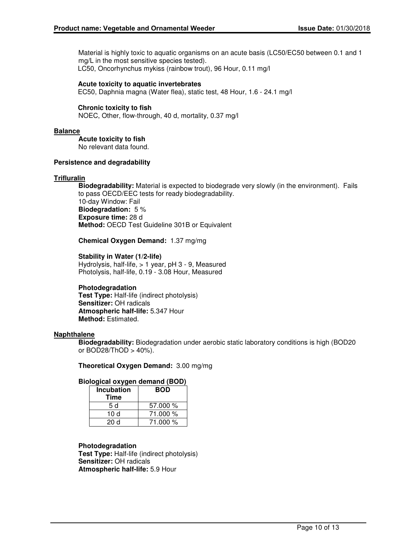Material is highly toxic to aquatic organisms on an acute basis (LC50/EC50 between 0.1 and 1 mg/L in the most sensitive species tested). LC50, Oncorhynchus mykiss (rainbow trout), 96 Hour, 0.11 mg/l

### **Acute toxicity to aquatic invertebrates**

EC50, Daphnia magna (Water flea), static test, 48 Hour, 1.6 - 24.1 mg/l

### **Chronic toxicity to fish**

NOEC, Other, flow-through, 40 d, mortality, 0.37 mg/l

### **Balance**

**Acute toxicity to fish** No relevant data found.

### **Persistence and degradability**

### **Trifluralin**

**Biodegradability:** Material is expected to biodegrade very slowly (in the environment). Fails to pass OECD/EEC tests for ready biodegradability. 10-day Window: Fail **Biodegradation:** 5 % **Exposure time:** 28 d **Method:** OECD Test Guideline 301B or Equivalent

**Chemical Oxygen Demand:** 1.37 mg/mg

### **Stability in Water (1/2-life)**

Hydrolysis, half-life, > 1 year, pH 3 - 9, Measured Photolysis, half-life, 0.19 - 3.08 Hour, Measured

### **Photodegradation**

**Test Type:** Half-life (indirect photolysis) **Sensitizer:** OH radicals **Atmospheric half-life:** 5.347 Hour **Method:** Estimated.

### **Naphthalene**

**Biodegradability:** Biodegradation under aerobic static laboratory conditions is high (BOD20 or BOD28/ThOD > 40%).

**Theoretical Oxygen Demand:** 3.00 mg/mg

### **Biological oxygen demand (BOD)**

| <b>Incubation</b><br>Time | <b>BOD</b> |
|---------------------------|------------|
| 5 d                       | 57.000 %   |
| 10 $d$                    | 71.000 %   |
| 20 d                      | 71.000 %   |

### **Photodegradation**

**Test Type:** Half-life (indirect photolysis) **Sensitizer:** OH radicals **Atmospheric half-life:** 5.9 Hour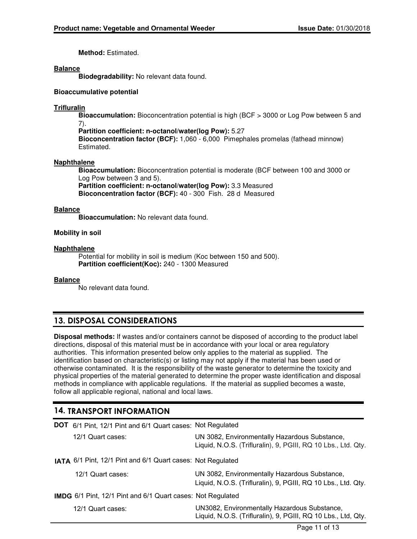**Method:** Estimated.

### **Balance**

**Biodegradability:** No relevant data found.

### **Bioaccumulative potential**

### **Trifluralin**

**Bioaccumulation:** Bioconcentration potential is high (BCF > 3000 or Log Pow between 5 and 7).

**Partition coefficient: n-octanol/water(log Pow):** 5.27 **Bioconcentration factor (BCF):** 1,060 - 6,000 Pimephales promelas (fathead minnow) Estimated.

### **Naphthalene**

**Bioaccumulation:** Bioconcentration potential is moderate (BCF between 100 and 3000 or Log Pow between 3 and 5). **Partition coefficient: n-octanol/water(log Pow):** 3.3 Measured

**Bioconcentration factor (BCF):** 40 - 300 Fish. 28 d Measured

### **Balance**

**Bioaccumulation:** No relevant data found.

### **Mobility in soil**

### **Naphthalene**

Potential for mobility in soil is medium (Koc between 150 and 500). **Partition coefficient(Koc):** 240 - 1300 Measured

### **Balance**

No relevant data found.

## 13. DISPOSAL CONSIDERATIONS

**Disposal methods:** If wastes and/or containers cannot be disposed of according to the product label directions, disposal of this material must be in accordance with your local or area regulatory authorities. This information presented below only applies to the material as supplied. The identification based on characteristic(s) or listing may not apply if the material has been used or otherwise contaminated. It is the responsibility of the waste generator to determine the toxicity and physical properties of the material generated to determine the proper waste identification and disposal methods in compliance with applicable regulations. If the material as supplied becomes a waste, follow all applicable regional, national and local laws.

## 14. TRANSPORT INFORMATION

| <b>DOT</b> 6/1 Pint, 12/1 Pint and 6/1 Quart cases: Not Regulated  |                                                                                                                |
|--------------------------------------------------------------------|----------------------------------------------------------------------------------------------------------------|
| 12/1 Quart cases:                                                  | UN 3082, Environmentally Hazardous Substance,<br>Liquid, N.O.S. (Trifluralin), 9, PGIII, RQ 10 Lbs., Ltd. Qty. |
| IATA 6/1 Pint, 12/1 Pint and 6/1 Quart cases: Not Regulated        |                                                                                                                |
| 12/1 Quart cases:                                                  | UN 3082, Environmentally Hazardous Substance,<br>Liquid, N.O.S. (Trifluralin), 9, PGIII, RQ 10 Lbs., Ltd. Qty. |
| <b>IMDG</b> 6/1 Pint, 12/1 Pint and 6/1 Quart cases: Not Regulated |                                                                                                                |
| 12/1 Quart cases:                                                  | UN3082, Environmentally Hazardous Substance,<br>Liquid, N.O.S. (Trifluralin), 9, PGIII, RQ 10 Lbs., Ltd, Qty.  |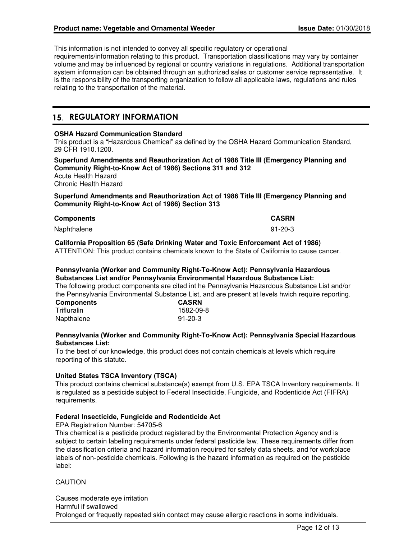This information is not intended to convey all specific regulatory or operational requirements/information relating to this product. Transportation classifications may vary by container volume and may be influenced by regional or country variations in regulations. Additional transportation system information can be obtained through an authorized sales or customer service representative. It is the responsibility of the transporting organization to follow all applicable laws, regulations and rules relating to the transportation of the material.

## 15. REGULATORY INFORMATION

### **OSHA Hazard Communication Standard**

This product is a "Hazardous Chemical" as defined by the OSHA Hazard Communication Standard, 29 CFR 1910.1200.

**Superfund Amendments and Reauthorization Act of 1986 Title III (Emergency Planning and Community Right-to-Know Act of 1986) Sections 311 and 312** Acute Health Hazard

Chronic Health Hazard

**Superfund Amendments and Reauthorization Act of 1986 Title III (Emergency Planning and Community Right-to-Know Act of 1986) Section 313**

| <b>Components</b> | <b>CASRN</b> |
|-------------------|--------------|
| Naphthalene       | 91-20-3      |

**California Proposition 65 (Safe Drinking Water and Toxic Enforcement Act of 1986)** ATTENTION: This product contains chemicals known to the State of California to cause cancer.

### **Pennsylvania (Worker and Community Right-To-Know Act): Pennsylvania Hazardous Substances List and/or Pennsylvania Environmental Hazardous Substance List:**

The following product components are cited int he Pennsylvania Hazardous Substance List and/or the Pennsylvania Environmental Substance List, and are present at levels hwich require reporting.

| <b>Components</b> | <b>CASRN</b>  |
|-------------------|---------------|
| Trifluralin       | 1582-09-8     |
| Napthalene        | $91 - 20 - 3$ |

### **Pennsylvania (Worker and Community Right-To-Know Act): Pennsylvania Special Hazardous Substances List:**

To the best of our knowledge, this product does not contain chemicals at levels which require reporting of this statute.

### **United States TSCA Inventory (TSCA)**

This product contains chemical substance(s) exempt from U.S. EPA TSCA Inventory requirements. It is regulated as a pesticide subject to Federal Insecticide, Fungicide, and Rodenticide Act (FIFRA) requirements.

### **Federal Insecticide, Fungicide and Rodenticide Act**

EPA Registration Number: 54705-6

This chemical is a pesticide product registered by the Environmental Protection Agency and is subject to certain labeling requirements under federal pesticide law. These requirements differ from the classification criteria and hazard information required for safety data sheets, and for workplace labels of non-pesticide chemicals. Following is the hazard information as required on the pesticide label:

**CAUTION** 

Causes moderate eye irritation Harmful if swallowed Prolonged or frequetly repeated skin contact may cause allergic reactions in some individuals.